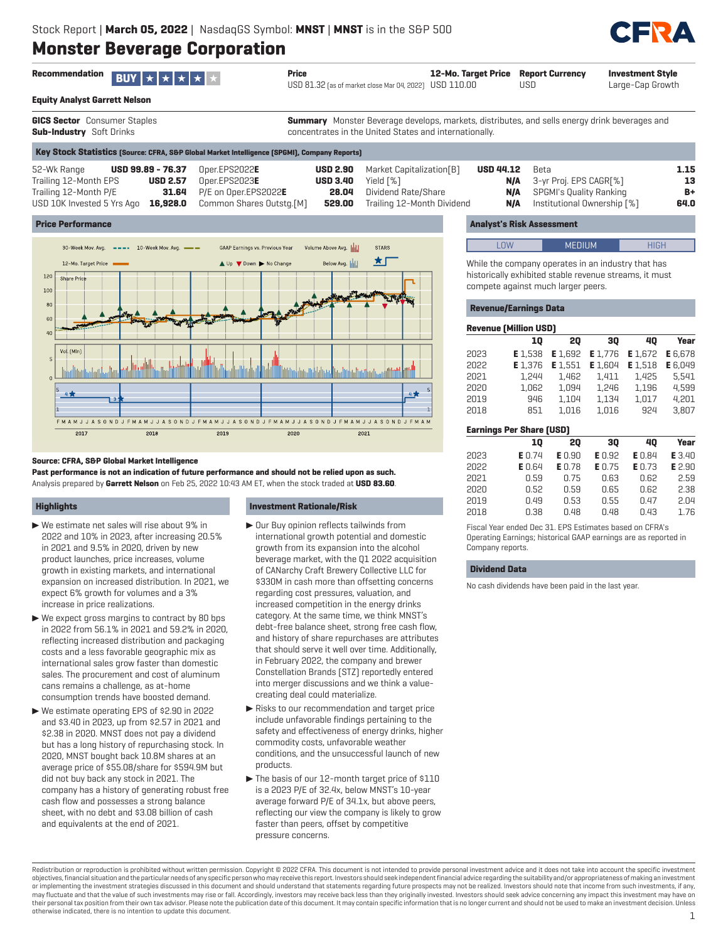

| <b>Recommendation</b><br>$BUY \star \star \star \star$                                                                                                          | Price                                                                              | USD 81.32 [as of market close Mar 04, 2022] USD 110.00                                                                                                         | 12-Mo. Target Price                   | <b>Report Currency</b><br>USD                                                                   | <b>Investment Style</b><br>Large-Cap Growth |
|-----------------------------------------------------------------------------------------------------------------------------------------------------------------|------------------------------------------------------------------------------------|----------------------------------------------------------------------------------------------------------------------------------------------------------------|---------------------------------------|-------------------------------------------------------------------------------------------------|---------------------------------------------|
| <b>Equity Analyst Garrett Nelson</b>                                                                                                                            |                                                                                    |                                                                                                                                                                |                                       |                                                                                                 |                                             |
| GICS Sector Consumer Staples<br>Sub-Industry Soft Drinks                                                                                                        |                                                                                    | <b>Summary</b> Monster Beverage develops, markets, distributes, and sells energy drink beverages and<br>concentrates in the United States and internationally. |                                       |                                                                                                 |                                             |
| Key Stock Statistics (Source: CFRA, S&P Global Market Intelligence (SPGMI), Company Reports)                                                                    |                                                                                    |                                                                                                                                                                |                                       |                                                                                                 |                                             |
| 52-Wk Range<br><b>USD 99.89 - 76.37</b><br>Trailing 12-Month EPS<br><b>USD 2.57</b><br>Trailing 12-Month P/E<br>31.64<br>USD 10K Invested 5 Yrs Ago<br>16,928.0 | Oper.EPS2022E<br>Oper.EPS2023E<br>P/E on Oper.EPS2022E<br>Common Shares Outstg.[M] | Market Capitalization[B]<br><b>USD 2.90</b><br><b>USD 3.40</b><br>Yield [%]<br>Dividend Rate/Share<br>28.04<br>Trailing 12-Month Dividend<br>529.00            | <b>USD 44.12</b><br>N/A<br>N/A<br>N/A | Beta<br>3-yr Proj. EPS CAGR[%]<br><b>SPGMI's Quality Ranking</b><br>Institutional Ownership [%] | 1.15<br>13<br>B+<br>64.0                    |

### **Price Performance**



#### **Source: CFRA, S&P Global Market Intelligence**

**Past performance is not an indication of future performance and should not be relied upon as such.** Analysis prepared by **Garrett Nelson** on Feb 25, 2022 10:43 AM ET, when the stock traded at **USD 83.60**.

# **Highlights**

- $\triangleright$  We estimate net sales will rise about 9% in 2022 and 10% in 2023, after increasing 20.5% in 2021 and 9.5% in 2020, driven by new product launches, price increases, volume growth in existing markets, and international expansion on increased distribution. In 2021, we expect 6% growth for volumes and a 3% increase in price realizations.
- $\blacktriangleright$  We expect gross margins to contract by 80 bps in 2022 from 56.1% in 2021 and 59.2% in 2020, reflecting increased distribution and packaging costs and a less favorable geographic mix as international sales grow faster than domestic sales. The procurement and cost of aluminum cans remains a challenge, as at-home consumption trends have boosted demand.
- ▶ We estimate operating EPS of \$2.90 in 2022 and \$3.40 in 2023, up from \$2.57 in 2021 and \$2.38 in 2020. MNST does not pay a dividend but has a long history of repurchasing stock. In 2020, MNST bought back 10.8M shares at an average price of \$55.08/share for \$594.9M but did not buy back any stock in 2021. The company has a history of generating robust free cash flow and possesses a strong balance sheet, with no debt and \$3.08 billion of cash and equivalents at the end of 2021.

#### **Investment Rationale/Risk**

- $\blacktriangleright$  Our Buy opinion reflects tailwinds from international growth potential and domestic growth from its expansion into the alcohol beverage market, with the Q1 2022 acquisition of CANarchy Craft Brewery Collective LLC for \$330M in cash more than offsetting concerns regarding cost pressures, valuation, and increased competition in the energy drinks category. At the same time, we think MNST's debt-free balance sheet, strong free cash flow, and history of share repurchases are attributes that should serve it well over time. Additionally, in February 2022, the company and brewer Constellation Brands (STZ) reportedly entered into merger discussions and we think a valuecreating deal could materialize.
- $\blacktriangleright$  Risks to our recommendation and target price include unfavorable findings pertaining to the safety and effectiveness of energy drinks, higher commodity costs, unfavorable weather conditions, and the unsuccessful launch of new products.
- $\blacktriangleright$  The basis of our 12-month target price of \$110 is a 2023 P/E of 32.4x, below MNST's 10-year average forward P/E of 34.1x, but above peers, reflecting our view the company is likely to grow faster than peers, offset by competitive pressure concerns.

# **Analyst's Risk Assessment**

LOW MEDIUM **HIGH** 

While the company operates in an industry that has historically exhibited stable revenue streams, it must compete against much larger peers.

## **Revenue/Earnings Data**

|      | <b>Revenue [Million USD]</b>    |         |         |         |         |  |  |  |  |  |
|------|---------------------------------|---------|---------|---------|---------|--|--|--|--|--|
|      | 10                              | 20      | 30      | 40      | Year    |  |  |  |  |  |
| 2023 | E 1.538                         | E 1.692 | E 1.776 | E 1.672 | E 6.678 |  |  |  |  |  |
| 2022 | E 1.376                         | E 1.551 | E 1.604 | E 1.518 | E 6.049 |  |  |  |  |  |
| 2021 | 1.244                           | 1.462   | 1.411   | 1.425   | 5.541   |  |  |  |  |  |
| 2020 | 1.062                           | 1.094   | 1.246   | 1.196   | 4.599   |  |  |  |  |  |
| 2019 | 946                             | 1.104   | 1.134   | 1.017   | 4.201   |  |  |  |  |  |
| 2018 | 851                             | 1.016   | 1.016   | 924     | 3.807   |  |  |  |  |  |
|      | <b>Earnings Per Share (USD)</b> |         |         |         |         |  |  |  |  |  |
|      | 10                              | 20      | 30      | 40      | Year    |  |  |  |  |  |

|      | 10            | 20            | 30            | 40            | Year   |
|------|---------------|---------------|---------------|---------------|--------|
| 2023 | <b>E</b> 0.74 | <b>E</b> 0.90 | <b>E</b> 0.92 | <b>E</b> 0.84 | E 3.40 |
| 2022 | <b>E</b> 0.64 | <b>E</b> 0.78 | E0.75         | <b>E</b> 0.73 | E 2.90 |
| 2021 | 0.59          | 0.75          | 0.63          | 0.62          | 2.59   |
| 2020 | 0.52          | 0.59          | 0.65          | 0.62          | 2.38   |
| 2019 | 0.49          | 0.53          | 0.55          | 0.47          | 2.04   |
| 2018 | 0.38          | 0.48          | 0.48          | 0.43          | 1.76   |
|      |               |               |               |               |        |

Fiscal Year ended Dec 31. EPS Estimates based on CFRA's Operating Earnings; historical GAAP earnings are as reported in Company reports.

### **Dividend Data**

No cash dividends have been paid in the last year.

Redistribution or reproduction is prohibited without written permission. Copyright © 2022 CFRA. This document is not intended to provide personal investment advice and it does not take into account the specific investment objectives, financial situation and the particular needs of any specific person who may receive this report. Investors should seek independent financial advice regarding the suitability and/or appropriateness of making an or implementing the investment strategies discussed in this document and should understand that statements regarding future prospects may not be realized. Investors should note that income from such investments, if any, may fluctuate and that the value of such investments may rise or fall. Accordingly, investors may receive back less than they originally invested. Investors should seek advice concerning any impact this investment may have their personal tax position from their own tax advisor. Please note the publication date of this document. It may contain specific information that is no longer current and should not be used to make an investment decision otherwise indicated, there is no intention to update this document. 1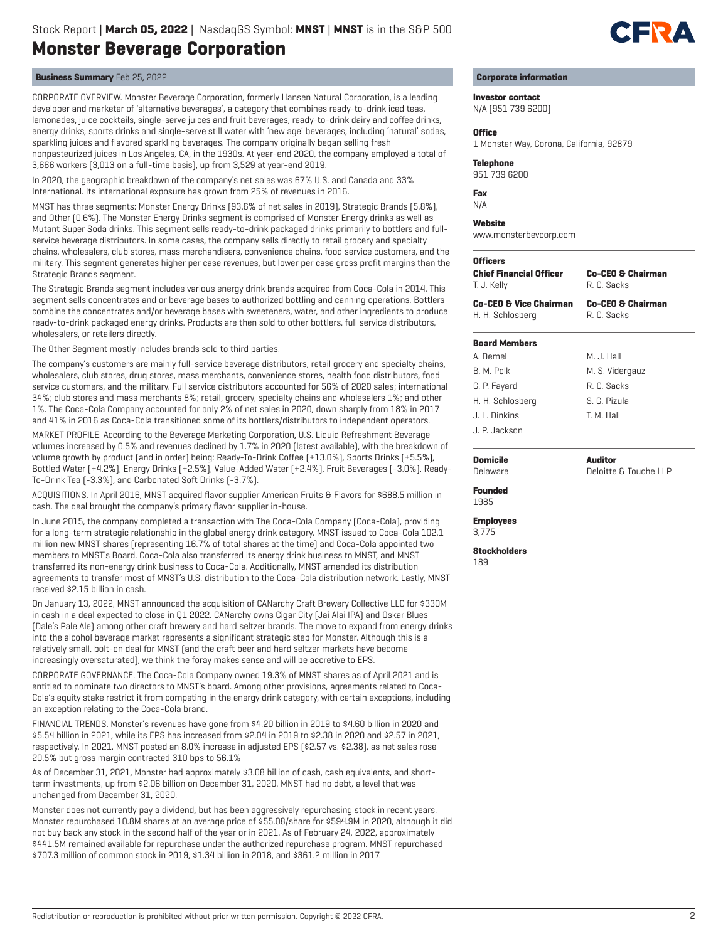

CORPORATE OVERVIEW. Monster Beverage Corporation, formerly Hansen Natural Corporation, is a leading developer and marketer of 'alternative beverages', a category that combines ready-to-drink iced teas, lemonades, juice cocktails, single-serve juices and fruit beverages, ready-to-drink dairy and coffee drinks, energy drinks, sports drinks and single-serve still water with 'new age' beverages, including 'natural' sodas, sparkling juices and flavored sparkling beverages. The company originally began selling fresh nonpasteurized juices in Los Angeles, CA, in the 1930s. At year-end 2020, the company employed a total of 3,666 workers (3,013 on a full-time basis), up from 3,529 at year-end 2019.

In 2020, the geographic breakdown of the company's net sales was 67% U.S. and Canada and 33% International. Its international exposure has grown from 25% of revenues in 2016.

MNST has three segments: Monster Energy Drinks (93.6% of net sales in 2019), Strategic Brands (5.8%), and Other (0.6%). The Monster Energy Drinks segment is comprised of Monster Energy drinks as well as Mutant Super Soda drinks. This segment sells ready-to-drink packaged drinks primarily to bottlers and fullservice beverage distributors. In some cases, the company sells directly to retail grocery and specialty chains, wholesalers, club stores, mass merchandisers, convenience chains, food service customers, and the military. This segment generates higher per case revenues, but lower per case gross profit margins than the Strategic Brands segment.

The Strategic Brands segment includes various energy drink brands acquired from Coca-Cola in 2014. This segment sells concentrates and or beverage bases to authorized bottling and canning operations. Bottlers combine the concentrates and/or beverage bases with sweeteners, water, and other ingredients to produce ready-to-drink packaged energy drinks. Products are then sold to other bottlers, full service distributors, wholesalers, or retailers directly.

The Other Segment mostly includes brands sold to third parties.

The company's customers are mainly full-service beverage distributors, retail grocery and specialty chains, wholesalers, club stores, drug stores, mass merchants, convenience stores, health food distributors, food service customers, and the military. Full service distributors accounted for 56% of 2020 sales; international 34%; club stores and mass merchants 8%; retail, grocery, specialty chains and wholesalers 1%; and other 1%. The Coca-Cola Company accounted for only 2% of net sales in 2020, down sharply from 18% in 2017 and 41% in 2016 as Coca-Cola transitioned some of its bottlers/distributors to independent operators.

MARKET PROFILE. According to the Beverage Marketing Corporation, U.S. Liquid Refreshment Beverage volumes increased by 0.5% and revenues declined by 1.7% in 2020 (latest available), with the breakdown of volume growth by product (and in order) being: Ready-To-Drink Coffee (+13.0%), Sports Drinks (+5.5%), Bottled Water (+4.2%), Energy Drinks (+2.5%), Value-Added Water (+2.4%), Fruit Beverages (-3.0%), Ready-To-Drink Tea (-3.3%), and Carbonated Soft Drinks (-3.7%).

ACQUISITIONS. In April 2016, MNST acquired flavor supplier American Fruits & Flavors for \$688.5 million in cash. The deal brought the company's primary flavor supplier in-house.

In June 2015, the company completed a transaction with The Coca-Cola Company (Coca-Cola), providing for a long-term strategic relationship in the global energy drink category. MNST issued to Coca-Cola 102.1 million new MNST shares (representing 16.7% of total shares at the time) and Coca-Cola appointed two members to MNST's Board. Coca-Cola also transferred its energy drink business to MNST, and MNST transferred its non-energy drink business to Coca-Cola. Additionally, MNST amended its distribution agreements to transfer most of MNST's U.S. distribution to the Coca-Cola distribution network. Lastly, MNST received \$2.15 billion in cash.

On January 13, 2022, MNST announced the acquisition of CANarchy Craft Brewery Collective LLC for \$330M in cash in a deal expected to close in Q1 2022. CANarchy owns Cigar City (Jai Alai IPA) and Oskar Blues (Dale's Pale Ale) among other craft brewery and hard seltzer brands. The move to expand from energy drinks into the alcohol beverage market represents a significant strategic step for Monster. Although this is a relatively small, bolt-on deal for MNST (and the craft beer and hard seltzer markets have become increasingly oversaturated), we think the foray makes sense and will be accretive to EPS.

CORPORATE GOVERNANCE. The Coca-Cola Company owned 19.3% of MNST shares as of April 2021 and is entitled to nominate two directors to MNST's board. Among other provisions, agreements related to Coca-Cola's equity stake restrict it from competing in the energy drink category, with certain exceptions, including an exception relating to the Coca-Cola brand.

FINANCIAL TRENDS. Monster's revenues have gone from \$4.20 billion in 2019 to \$4.60 billion in 2020 and \$5.54 billion in 2021, while its EPS has increased from \$2.04 in 2019 to \$2.38 in 2020 and \$2.57 in 2021, respectively. In 2021, MNST posted an 8.0% increase in adjusted EPS (\$2.57 vs. \$2.38), as net sales rose 20.5% but gross margin contracted 310 bps to 56.1%

As of December 31, 2021, Monster had approximately \$3.08 billion of cash, cash equivalents, and shortterm investments, up from \$2.06 billion on December 31, 2020. MNST had no debt, a level that was unchanged from December 31, 2020.

Monster does not currently pay a dividend, but has been aggressively repurchasing stock in recent years. Monster repurchased 10.8M shares at an average price of \$55.08/share for \$594.9M in 2020, although it did not buy back any stock in the second half of the year or in 2021. As of February 24, 2022, approximately \$441.5M remained available for repurchase under the authorized repurchase program. MNST repurchased \$707.3 million of common stock in 2019, \$1.34 billion in 2018, and \$361.2 million in 2017.



# **Corporate information**

**Investor contact**

N/A (951 739 6200)

#### **Office**

1 Monster Way, Corona, California, 92879

# **Telephone**

951 739 6200

#### **Fax** N/A

**Website** www.monsterbevcorp.com

### **Officers**

**Chief Financial Officer** T. J. Kelly

**Co-CEO & Chairman** R. C. Sacks

**Co-CEO & Vice Chairman** H. H. Schlosberg

**Co-CEO & Chairman**

R. C. Sacks

M. J. Hall

**Board Members** A. Demel B. M. Polk G. P. Fayard H. H. Schlosberg J. L. Dinkins J. P. Jackson

M. S. Vidergauz R. C. Sacks

S. G. Pizula T. M. Hall

**Auditor** Deloitte & Touche LLP

**Founded** 1985

**Domicile** Delaware

**Employees** 3,775

**Stockholders**

189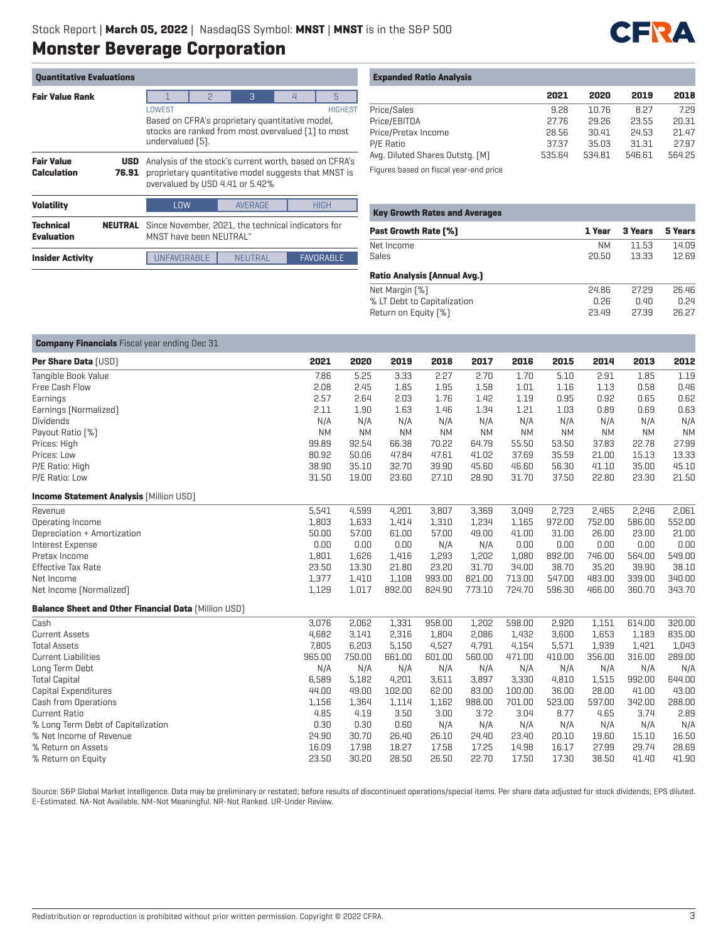

| <b>Quantitative Evaluations</b>         |                     |                                                                                                                                                       |             |                |  |                  |  |  |  |  |  |
|-----------------------------------------|---------------------|-------------------------------------------------------------------------------------------------------------------------------------------------------|-------------|----------------|--|------------------|--|--|--|--|--|
| <b>Fair Value Rank</b>                  |                     |                                                                                                                                                       | 3<br>5<br>P |                |  |                  |  |  |  |  |  |
|                                         |                     | <b>HIGHEST</b><br>LOWEST<br>Based on CFRA's proprietary quantitative model,<br>stocks are ranked from most overvalued [1] to most<br>undervalued [5]. |             |                |  |                  |  |  |  |  |  |
| <b>Fair Value</b><br><b>Calculation</b> | <b>USD</b><br>76.91 | Analysis of the stock's current worth, based on CFRA's<br>proprietary quantitative model suggests that MNST is<br>overvalued by USD 4.41 or 5.42%     |             |                |  |                  |  |  |  |  |  |
| <b>Volatility</b>                       |                     | <b>AVERAGE</b><br><b>HIGH</b><br><b>LOW</b>                                                                                                           |             |                |  |                  |  |  |  |  |  |
| Technical<br><b>Evaluation</b>          | <b>NEUTRAL</b>      | Since November, 2021, the technical indicators for<br>MNST have heen NFIJTRAL"                                                                        |             |                |  |                  |  |  |  |  |  |
| <b>Insider Activity</b>                 |                     | UNFAVORABLE                                                                                                                                           |             | <b>NEUTRAL</b> |  | <b>FAVORABLE</b> |  |  |  |  |  |

# **Expanded Ratio Analysis**

|                                 | 2021   | 2020   | 2019   | 2018   |
|---------------------------------|--------|--------|--------|--------|
| Price/Sales                     | 9.28   | 10.76  | 8.27   | 7.29   |
| Price/EBITDA                    | 27.76  | 29.26  | 23.55  | 20.31  |
| Price/Pretax Income             | 28.56  | 30.41  | 24.53  | 21.47  |
| P/E Ratio                       | 37.37  | 35.03  | 31.31  | 27.97  |
| Avg. Diluted Shares Outstg. (M) | 535.64 | 534.81 | 546.61 | 564.25 |
|                                 |        |        |        |        |

Figures based on fiscal year-end price

| <b>Key Growth Rates and Averages</b> |           |         |         |  |  |  |  |  |  |  |
|--------------------------------------|-----------|---------|---------|--|--|--|--|--|--|--|
| <b>Past Growth Rate [%]</b>          | 1 Year    | 3 Years | 5 Years |  |  |  |  |  |  |  |
| Net Income                           | <b>NM</b> | 11.53   | 14.09   |  |  |  |  |  |  |  |
| Sales                                | 20.50     | 13.33   | 12.69   |  |  |  |  |  |  |  |
| <b>Ratio Analysis [Annual Avg.]</b>  |           |         |         |  |  |  |  |  |  |  |
| Net Margin [%]                       | 24.86     | 27.29   | 26.46   |  |  |  |  |  |  |  |
| % LT Debt to Capitalization          | 0.26      | 0.40    | 0.24    |  |  |  |  |  |  |  |
| Return on Equity [%]                 | 23.49     | 27.39   | 26.27   |  |  |  |  |  |  |  |

| <b>Company Financials</b> Fiscal year ending Dec 31         |           |           |           |           |           |           |           |           |           |           |
|-------------------------------------------------------------|-----------|-----------|-----------|-----------|-----------|-----------|-----------|-----------|-----------|-----------|
| Per Share Data [USD]                                        | 2021      | 2020      | 2019      | 2018      | 2017      | 2016      | 2015      | 2014      | 2013      | 2012      |
| Tangible Book Value                                         | 7.86      | 5.25      | 3.33      | 2.27      | 2.70      | 1.70      | 5.10      | 2.91      | 1.85      | 1.19      |
| Free Cash Flow                                              | 2.08      | 2.45      | 1.85      | 1.95      | 1.58      | 1.01      | 1.16      | 1.13      | 0.58      | 0.46      |
| Earnings                                                    | 2.57      | 2.64      | 2.03      | 1.76      | 1.42      | 1.19      | 0.95      | 0.92      | 0.65      | 0.62      |
| Earnings [Normalized]                                       | 2.11      | 1.90      | 1.63      | 1.46      | 1.34      | 1.21      | 1.03      | 0.89      | 0.69      | 0.63      |
| <b>Dividends</b>                                            | N/A       | N/A       | N/A       | N/A       | N/A       | N/A       | N/A       | N/A       | N/A       | N/A       |
| Payout Ratio [%]                                            | <b>NM</b> | <b>NM</b> | <b>NM</b> | <b>NM</b> | <b>NM</b> | <b>NM</b> | <b>NM</b> | <b>NM</b> | <b>NM</b> | <b>NM</b> |
| Prices: High                                                | 99.89     | 92.54     | 66.38     | 70.22     | 64.79     | 55.50     | 53.50     | 37.83     | 22.78     | 27.99     |
| Prices: Low                                                 | 80.92     | 50.06     | 47.84     | 47.61     | 41.02     | 37.69     | 35.59     | 21.00     | 15.13     | 13.33     |
| P/E Ratio: High                                             | 38.90     | 35.10     | 32.70     | 39.90     | 45.60     | 46.60     | 56.30     | 41.10     | 35.00     | 45.10     |
| P/E Ratio: Low                                              | 31.50     | 19.00     | 23.60     | 27.10     | 28.90     | 31.70     | 37.50     | 22.80     | 23.30     | 21.50     |
| <b>Income Statement Analysis [Million USD]</b>              |           |           |           |           |           |           |           |           |           |           |
| Revenue                                                     | 5,541     | 4,599     | 4,201     | 3,807     | 3,369     | 3,049     | 2,723     | 2,465     | 2,246     | 2,061     |
| Operating Income                                            | 1,803     | 1,633     | 1,414     | 1,310     | 1,234     | 1,165     | 972.00    | 752.00    | 586.00    | 552.00    |
| Depreciation + Amortization                                 | 50.00     | 57.00     | 61.00     | 57.00     | 49.00     | 41.00     | 31.00     | 26.00     | 23.00     | 21.00     |
| Interest Expense                                            | 0.00      | 0.00      | 0.00      | N/A       | N/A       | 0.00      | 0.00      | 0.00      | 0.00      | 0.00      |
| Pretax Income                                               | 1,801     | 1,626     | 1,416     | 1,293     | 1,202     | 1,080     | 892.00    | 746.00    | 564.00    | 549.00    |
| <b>Effective Tax Rate</b>                                   | 23.50     | 13.30     | 21.80     | 23.20     | 31.70     | 34.00     | 38.70     | 35.20     | 39.90     | 38.10     |
| Net Income                                                  | 1,377     | 1,410     | 1,108     | 993.00    | 821.00    | 713.00    | 547.00    | 483.00    | 339.00    | 340.00    |
| Net Income (Normalized)                                     | 1,129     | 1,017     | 892.00    | 824.90    | 773.10    | 724.70    | 596.30    | 466.00    | 360.70    | 343.70    |
| <b>Balance Sheet and Other Financial Data [Million USD]</b> |           |           |           |           |           |           |           |           |           |           |
| Cash                                                        | 3,076     | 2,062     | 1,331     | 958.00    | 1,202     | 598.00    | 2,920     | 1,151     | 614.00    | 320.00    |
| <b>Current Assets</b>                                       | 4,682     | 3,141     | 2,316     | 1,804     | 2,086     | 1,432     | 3,600     | 1,653     | 1,183     | 835.00    |
| <b>Total Assets</b>                                         | 7,805     | 6,203     | 5,150     | 4,527     | 4,791     | 4,154     | 5,571     | 1,939     | 1,421     | 1,043     |
| <b>Current Liabilities</b>                                  | 965.00    | 750.00    | 661.00    | 601.00    | 560.00    | 471.00    | 410.00    | 356.00    | 316.00    | 289.00    |
| Long Term Debt                                              | N/A       | N/A       | N/A       | N/A       | N/A       | N/A       | N/A       | N/A       | N/A       | N/A       |
| <b>Total Capital</b>                                        | 6,589     | 5,182     | 4,201     | 3,611     | 3,897     | 3,330     | 4,810     | 1,515     | 992.00    | 644.00    |
| Capital Expenditures                                        | 44.00     | 49.00     | 102.00    | 62.00     | 83.00     | 100.00    | 36.00     | 28.00     | 41.00     | 43.00     |
| Cash from Operations                                        | 1,156     | 1,364     | 1,114     | 1,162     | 988.00    | 701.00    | 523.00    | 597.00    | 342.00    | 288.00    |
| <b>Current Ratio</b>                                        | 4.85      | 4.19      | 3.50      | 3.00      | 3.72      | 3.04      | 8.77      | 4.65      | 3.74      | 2.89      |
| % Long Term Debt of Capitalization                          | 0.30      | 0.30      | 0.60      | N/A       | N/A       | N/A       | N/A       | N/A       | N/A       | N/A       |
| % Net Income of Revenue                                     | 24.90     | 30.70     | 26.40     | 26.10     | 24.40     | 23.40     | 20.10     | 19.60     | 15.10     | 16.50     |
| % Return on Assets                                          | 16.09     | 17.98     | 18.27     | 17.58     | 17.25     | 14.98     | 16.17     | 27.99     | 29.74     | 28.69     |
| % Return on Equity                                          | 23.50     | 30.20     | 28.50     | 26.50     | 22.70     | 17.50     | 17.30     | 38.50     | 41.40     | 41.90     |

Source: S&P Global Market Intelligence. Data may be preliminary or restated; before results of discontinued operations/special items. Per share data adjusted for stock dividends; EPS diluted. E-Estimated. NA-Not Available. NM-Not Meaningful. NR-Not Ranked. UR-Under Review.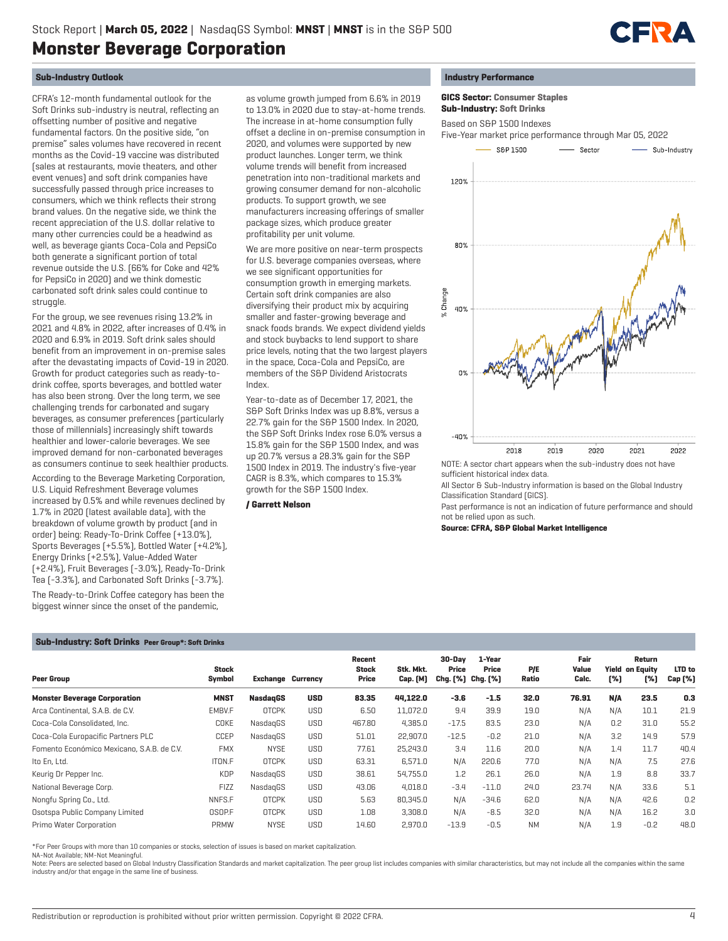

# **Sub-Industry Outlook**

CFRA's 12-month fundamental outlook for the Soft Drinks sub-industry is neutral, reflecting an offsetting number of positive and negative fundamental factors. On the positive side, "on premise" sales volumes have recovered in recent months as the Covid-19 vaccine was distributed (sales at restaurants, movie theaters, and other event venues) and soft drink companies have successfully passed through price increases to consumers, which we think reflects their strong brand values. On the negative side, we think the recent appreciation of the U.S. dollar relative to many other currencies could be a headwind as well, as beverage giants Coca-Cola and PepsiCo both generate a significant portion of total revenue outside the U.S. (66% for Coke and 42% for PepsiCo in 2020) and we think domestic carbonated soft drink sales could continue to struggle.

For the group, we see revenues rising 13.2% in 2021 and 4.8% in 2022, after increases of 0.4% in 2020 and 6.9% in 2019. Soft drink sales should benefit from an improvement in on-premise sales after the devastating impacts of Covid-19 in 2020. Growth for product categories such as ready-todrink coffee, sports beverages, and bottled water has also been strong. Over the long term, we see challenging trends for carbonated and sugary beverages, as consumer preferences (particularly those of millennials) increasingly shift towards healthier and lower-calorie beverages. We see improved demand for non-carbonated beverages as consumers continue to seek healthier products.

According to the Beverage Marketing Corporation, U.S. Liquid Refreshment Beverage volumes increased by 0.5% and while revenues declined by 1.7% in 2020 (latest available data), with the breakdown of volume growth by product (and in order) being: Ready-To-Drink Coffee (+13.0%), Sports Beverages (+5.5%), Bottled Water (+4.2%), Energy Drinks (+2.5%), Value-Added Water (+2.4%), Fruit Beverages (-3.0%), Ready-To-Drink Tea (-3.3%), and Carbonated Soft Drinks (-3.7%). The Ready-to-Drink Coffee category has been the biggest winner since the onset of the pandemic,

as volume growth jumped from 6.6% in 2019 to 13.0% in 2020 due to stay-at-home trends. The increase in at-home consumption fully offset a decline in on-premise consumption in 2020, and volumes were supported by new product launches. Longer term, we think volume trends will benefit from increased penetration into non-traditional markets and growing consumer demand for non-alcoholic products. To support growth, we see manufacturers increasing offerings of smaller package sizes, which produce greater profitability per unit volume.

We are more positive on near-term prospects for U.S. beverage companies overseas, where we see significant opportunities for consumption growth in emerging markets. Certain soft drink companies are also diversifying their product mix by acquiring smaller and faster-growing beverage and snack foods brands. We expect dividend yields and stock buybacks to lend support to share price levels, noting that the two largest players in the space, Coca-Cola and PepsiCo, are members of the S&P Dividend Aristocrats Index.

Year-to-date as of December 17, 2021, the S&P Soft Drinks Index was up 8.8%, versus a 22.7% gain for the S&P 1500 Index. In 2020, the S&P Soft Drinks Index rose 6.0% versus a 15.8% gain for the S&P 1500 Index, and was up 20.7% versus a 28.3% gain for the S&P 1500 Index in 2019. The industry's five-year CAGR is 8.3%, which compares to 15.3% growth for the S&P 1500 Index.

### **/ Garrett Nelson**



 **GICS Sector: Consumer Staples Sub-Industry: Soft Drinks**

Based on S&P 1500 Indexes

Five-Year market price performance through Mar 05, 2022



sufficient historical index data.

All Sector & Sub-Industry information is based on the Global Industry Classification Standard (GICS).

Past performance is not an indication of future performance and should not be relied upon as such.

**Source: CFRA, S&P Global Market Intelligence**

## **Sub-Industry: Soft Drinks Peer Group\*: Soft Drinks**

| <b>Peer Group</b>                          | <b>Stock</b><br>Symbol | <b>Exchange Currency</b> |            | Recent<br><b>Stock</b><br>Price | Stk. Mkt.<br><b>Cap.</b> [M] | 30-Dav<br>Price<br>Chg. [%] | 1-Year<br>Price<br>Chg. [%] | P/E<br>Ratio | Fair<br>Value<br>Calc. | [%] | Return<br><b>Yield on Equity</b><br>[%] | LTD to<br>Cap (%) |
|--------------------------------------------|------------------------|--------------------------|------------|---------------------------------|------------------------------|-----------------------------|-----------------------------|--------------|------------------------|-----|-----------------------------------------|-------------------|
| <b>Monster Beverage Corporation</b>        | <b>MNST</b>            | <b>NasdagGS</b>          | <b>USD</b> | 83.35                           | 44,122.0                     | $-3.6$                      | $-1.5$                      | 32.0         | 76.91                  | N/A | 23.5                                    | 0.3               |
| Arca Continental, S.A.B. de C.V.           | EMBV.F                 | <b>OTCPK</b>             | <b>USD</b> | 6.50                            | 11,072.0                     | 9.4                         | 39.9                        | 19.0         | N/A                    | N/A | 10.1                                    | 21.9              |
| Coca-Cola Consolidated, Inc.               | COKE                   | NasdagGS                 | <b>USD</b> | 467.80                          | 4,385.0                      | $-17.5$                     | 83.5                        | 23.0         | N/A                    | 0.2 | 31.0                                    | 55.2              |
| Coca-Cola Europacific Partners PLC         | CCEP                   | NasdagGS                 | <b>USD</b> | 51.01                           | 22,907.0                     | $-12.5$                     | $-0.2$                      | 21.0         | N/A                    | 3.2 | 14.9                                    | 57.9              |
| Fomento Económico Mexicano, S.A.B. de C.V. | <b>FMX</b>             | <b>NYSE</b>              | <b>USD</b> | 77.61                           | 25,243.0                     | 3.4                         | 11.6                        | 20.0         | N/A                    | 1.4 | 11.7                                    | 40.4              |
| Ito En, Ltd.                               | ITON.F                 | <b>OTCPK</b>             | <b>USD</b> | 63.31                           | 6,571.0                      | N/A                         | 220.6                       | 77.0         | N/A                    | N/A | 7.5                                     | 27.6              |
| Keurig Dr Pepper Inc.                      | <b>KDP</b>             | NasdagGS                 | <b>USD</b> | 38.61                           | 54,755.0                     | 1.2                         | 26.1                        | 26.0         | N/A                    | 1.9 | 8.8                                     | 33.7              |
| National Beverage Corp.                    | <b>FIZZ</b>            | NasdagGS                 | <b>USD</b> | 43.06                           | 4,018.0                      | $-3.4$                      | $-11.0$                     | 24.0         | 23.74                  | N/A | 33.6                                    | 5.1               |
| Nongfu Spring Co., Ltd.                    | NNFS.F                 | <b>OTCPK</b>             | <b>USD</b> | 5.63                            | 80.345.0                     | N/A                         | $-34.6$                     | 62.0         | N/A                    | N/A | 42.6                                    | 0.2               |
| Osotspa Public Company Limited             | OSOP.F                 | <b>OTCPK</b>             | <b>USD</b> | 1.08                            | 3,308.0                      | N/A                         | $-8.5$                      | 32.0         | N/A                    | N/A | 16.2                                    | 3.0               |
| Primo Water Corporation                    | PRMW                   | <b>NYSE</b>              | <b>USD</b> | 14.60                           | 2,970.0                      | $-13.9$                     | $-0.5$                      | <b>NM</b>    | N/A                    | 1.9 | $-0.2$                                  | 48.0              |

\*For Peer Groups with more than 10 companies or stocks, selection of issues is based on market capitalization.

NA-Not Available; NM-Not Meaningful.

Note: Peers are selected based on Global Industry Classification Standards and market capitalization. The peer group list includes companies with similar characteristics, but may not include all the companies within the same industry and/or that engage in the same line of business.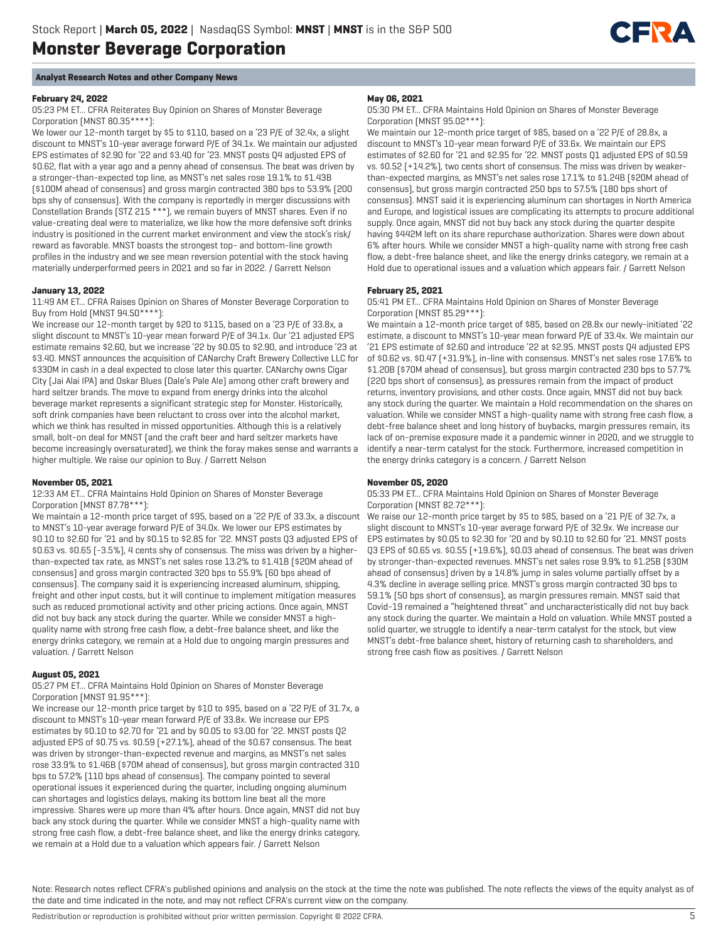

# **Analyst Research Notes and other Company News**

# **February 24, 2022**

05:23 PM ET... CFRA Reiterates Buy Opinion on Shares of Monster Beverage Corporation (MNST 80.35\*\*\*\*):

We lower our 12-month target by \$5 to \$110, based on a '23 P/E of 32.4x, a slight discount to MNST's 10-year average forward P/E of 34.1x. We maintain our adjusted EPS estimates of \$2.90 for '22 and \$3.40 for '23. MNST posts Q4 adjusted EPS of \$0.62, flat with a year ago and a penny ahead of consensus. The beat was driven by a stronger-than-expected top line, as MNST's net sales rose 19.1% to \$1.43B (\$100M ahead of consensus) and gross margin contracted 380 bps to 53.9% (200 bps shy of consensus). With the company is reportedly in merger discussions with Constellation Brands (STZ 215 \*\*\*), we remain buyers of MNST shares. Even if no value-creating deal were to materialize, we like how the more defensive soft drinks industry is positioned in the current market environment and view the stock's risk/ reward as favorable. MNST boasts the strongest top- and bottom-line growth profiles in the industry and we see mean reversion potential with the stock having materially underperformed peers in 2021 and so far in 2022. / Garrett Nelson

## **January 13, 2022**

11:49 AM ET... CFRA Raises Opinion on Shares of Monster Beverage Corporation to Buy from Hold (MNST 94.50\*\*\*\*):

We increase our 12-month target by \$20 to \$115, based on a '23 P/E of 33.8x, a slight discount to MNST's 10-year mean forward P/E of 34.1x. Our '21 adjusted EPS estimate remains \$2.60, but we increase '22 by \$0.05 to \$2.90, and introduce '23 at \$3.40. MNST announces the acquisition of CANarchy Craft Brewery Collective LLC for \$330M in cash in a deal expected to close later this quarter. CANarchy owns Cigar City (Jai Alai IPA) and Oskar Blues (Dale's Pale Ale) among other craft brewery and hard seltzer brands. The move to expand from energy drinks into the alcohol beverage market represents a significant strategic step for Monster. Historically, soft drink companies have been reluctant to cross over into the alcohol market, which we think has resulted in missed opportunities. Although this is a relatively small, bolt-on deal for MNST (and the craft beer and hard seltzer markets have become increasingly oversaturated), we think the foray makes sense and warrants a higher multiple. We raise our opinion to Buy. / Garrett Nelson

### **November 05, 2021**

12:33 AM ET... CFRA Maintains Hold Opinion on Shares of Monster Beverage Corporation (MNST 87.78\*\*\*):

We maintain a 12-month price target of \$95, based on a '22 P/E of 33.3x, a discount to MNST's 10-year average forward P/E of 34.0x. We lower our EPS estimates by \$0.10 to \$2.60 for '21 and by \$0.15 to \$2.85 for '22. MNST posts Q3 adjusted EPS of \$0.63 vs. \$0.65 (-3.5%), 4 cents shy of consensus. The miss was driven by a higherthan-expected tax rate, as MNST's net sales rose 13.2% to \$1.41B (\$20M ahead of consensus) and gross margin contracted 320 bps to 55.9% (60 bps ahead of consensus). The company said it is experiencing increased aluminum, shipping, freight and other input costs, but it will continue to implement mitigation measures such as reduced promotional activity and other pricing actions. Once again, MNST did not buy back any stock during the quarter. While we consider MNST a highquality name with strong free cash flow, a debt-free balance sheet, and like the energy drinks category, we remain at a Hold due to ongoing margin pressures and valuation. / Garrett Nelson

# **August 05, 2021**

05:27 PM ET... CFRA Maintains Hold Opinion on Shares of Monster Beverage Corporation (MNST 91.95\*\*\*):

We increase our 12-month price target by \$10 to \$95, based on a '22 P/E of 31.7x, a discount to MNST's 10-year mean forward P/E of 33.8x. We increase our EPS estimates by \$0.10 to \$2.70 for '21 and by \$0.05 to \$3.00 for '22. MNST posts Q2 adjusted EPS of \$0.75 vs. \$0.59 (+27.1%), ahead of the \$0.67 consensus. The beat was driven by stronger-than-expected revenue and margins, as MNST's net sales rose 33.9% to \$1.46B (\$70M ahead of consensus), but gross margin contracted 310 bps to 57.2% (110 bps ahead of consensus). The company pointed to several operational issues it experienced during the quarter, including ongoing aluminum can shortages and logistics delays, making its bottom line beat all the more impressive. Shares were up more than 4% after hours. Once again, MNST did not buy back any stock during the quarter. While we consider MNST a high-quality name with strong free cash flow, a debt-free balance sheet, and like the energy drinks category, we remain at a Hold due to a valuation which appears fair. / Garrett Nelson

#### **May 06, 2021**

05:30 PM ET... CFRA Maintains Hold Opinion on Shares of Monster Beverage Corporation (MNST 95.02\*\*\*):

We maintain our 12-month price target of \$85, based on a '22 P/E of 28.8x, a discount to MNST's 10-year mean forward P/E of 33.6x. We maintain our EPS estimates of \$2.60 for '21 and \$2.95 for '22. MNST posts Q1 adjusted EPS of \$0.59 vs. \$0.52 (+14.2%), two cents short of consensus. The miss was driven by weakerthan-expected margins, as MNST's net sales rose 17.1% to \$1.24B (\$20M ahead of consensus), but gross margin contracted 250 bps to 57.5% (180 bps short of consensus). MNST said it is experiencing aluminum can shortages in North America and Europe, and logistical issues are complicating its attempts to procure additional supply. Once again, MNST did not buy back any stock during the quarter despite having \$442M left on its share repurchase authorization. Shares were down about 6% after hours. While we consider MNST a high-quality name with strong free cash flow, a debt-free balance sheet, and like the energy drinks category, we remain at a Hold due to operational issues and a valuation which appears fair. / Garrett Nelson

### **February 25, 2021**

05:41 PM ET... CFRA Maintains Hold Opinion on Shares of Monster Beverage Corporation (MNST 85.29\*\*\*):

We maintain a 12-month price target of \$85, based on 28.8x our newly-initiated '22 estimate, a discount to MNST's 10-year mean forward P/E of 33.4x. We maintain our '21 EPS estimate of \$2.60 and introduce '22 at \$2.95. MNST posts Q4 adjusted EPS of \$0.62 vs. \$0.47 (+31.9%), in-line with consensus. MNST's net sales rose 17.6% to \$1.20B (\$70M ahead of consensus), but gross margin contracted 230 bps to 57.7% (220 bps short of consensus), as pressures remain from the impact of product returns, inventory provisions, and other costs. Once again, MNST did not buy back any stock during the quarter. We maintain a Hold recommendation on the shares on valuation. While we consider MNST a high-quality name with strong free cash flow, a debt-free balance sheet and long history of buybacks, margin pressures remain, its lack of on-premise exposure made it a pandemic winner in 2020, and we struggle to identify a near-term catalyst for the stock. Furthermore, increased competition in the energy drinks category is a concern. / Garrett Nelson

### **November 05, 2020**

05:33 PM ET... CFRA Maintains Hold Opinion on Shares of Monster Beverage Corporation (MNST 82.72\*\*\*):

We raise our 12-month price target by \$5 to \$85, based on a '21 P/E of 32.7x, a slight discount to MNST's 10-year average forward P/E of 32.9x. We increase our EPS estimates by \$0.05 to \$2.30 for '20 and by \$0.10 to \$2.60 for '21. MNST posts Q3 EPS of \$0.65 vs. \$0.55 (+19.6%), \$0.03 ahead of consensus. The beat was driven by stronger-than-expected revenues. MNST's net sales rose 9.9% to \$1.25B (\$30M ahead of consensus) driven by a 14.8% jump in sales volume partially offset by a 4.3% decline in average selling price. MNST's gross margin contracted 30 bps to 59.1% (50 bps short of consensus), as margin pressures remain. MNST said that Covid-19 remained a "heightened threat" and uncharacteristically did not buy back any stock during the quarter. We maintain a Hold on valuation. While MNST posted a solid quarter, we struggle to identify a near-term catalyst for the stock, but view MNST's debt-free balance sheet, history of returning cash to shareholders, and strong free cash flow as positives. / Garrett Nelson

Note: Research notes reflect CFRA's published opinions and analysis on the stock at the time the note was published. The note reflects the views of the equity analyst as of the date and time indicated in the note, and may not reflect CFRA's current view on the company.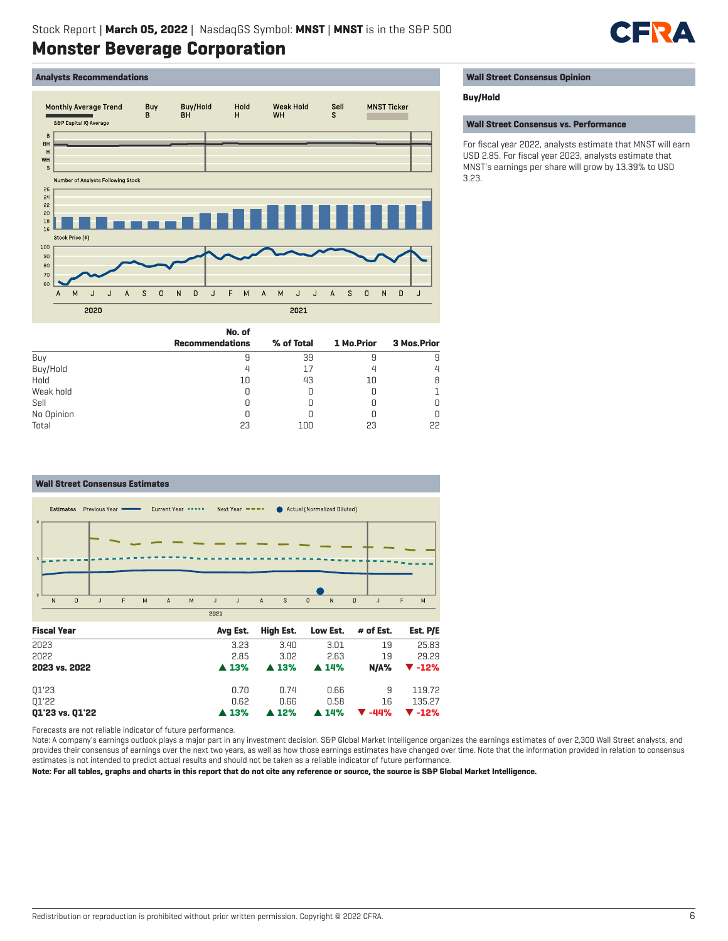

# **Analysts Recommendations**



|  | <b>Wall Street Consensus Opinion</b> |  |
|--|--------------------------------------|--|
|--|--------------------------------------|--|

### **Buy/Hold**

**Wall Street Consensus vs. Performance**

For fiscal year 2022, analysts estimate that MNST will earn USD 2.85. For fiscal year 2023, analysts estimate that MNST's earnings per share will grow by 13.39% to USD 3.23.

|            | No. of                 |            |            |                    |
|------------|------------------------|------------|------------|--------------------|
|            | <b>Recommendations</b> | % of Total | 1 Mo.Prior | <b>3 Mos.Prior</b> |
| Buy        |                        | 39         | 9          | 9                  |
| Buy/Hold   |                        | 17         | 4          | $\overline{4}$     |
| Hold       | 10                     | 43         | 10         | 8                  |
| Weak hold  |                        |            | U          |                    |
| Sell       |                        |            |            | 0                  |
| No Opinion |                        |            |            | 0                  |
| Total      | 23                     | 100        | 23         | 22                 |



Forecasts are not reliable indicator of future performance.

Note: A company's earnings outlook plays a major part in any investment decision. S&P Global Market Intelligence organizes the earnings estimates of over 2,300 Wall Street analysts, and provides their consensus of earnings over the next two years, as well as how those earnings estimates have changed over time. Note that the information provided in relation to consensus estimates is not intended to predict actual results and should not be taken as a reliable indicator of future performance.

**Note: For all tables, graphs and charts in this report that do not cite any reference or source, the source is S&P Global Market Intelligence.**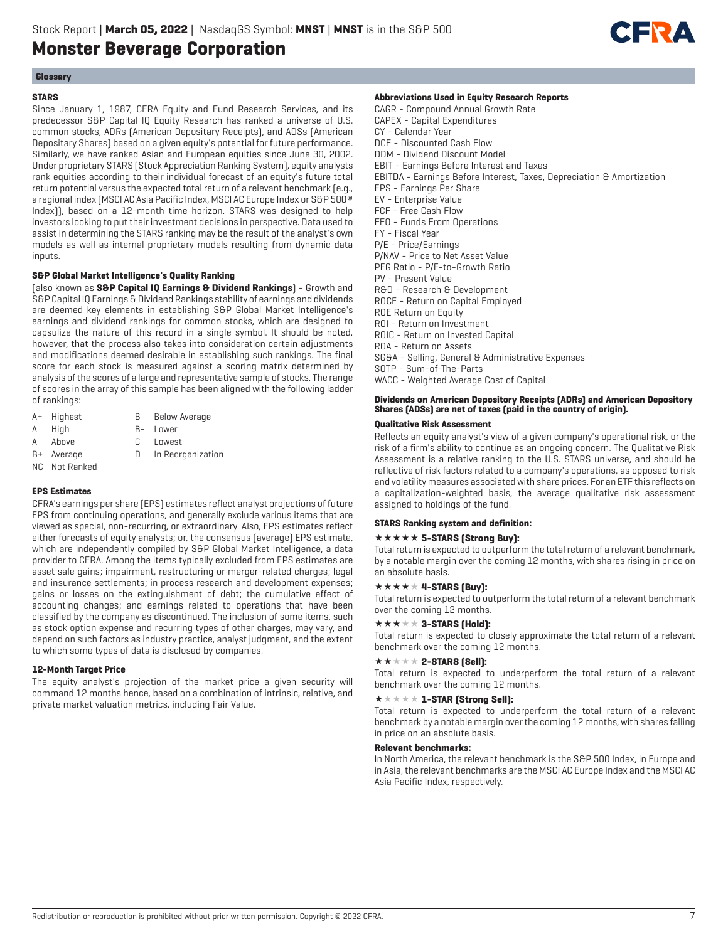

# **Glossary**

# **STARS**

Since January 1, 1987, CFRA Equity and Fund Research Services, and its predecessor S&P Capital IQ Equity Research has ranked a universe of U.S. common stocks, ADRs (American Depositary Receipts), and ADSs (American Depositary Shares) based on a given equity's potential for future performance. Similarly, we have ranked Asian and European equities since June 30, 2002. Under proprietary STARS (Stock Appreciation Ranking System), equity analysts rank equities according to their individual forecast of an equity's future total return potential versus the expected total return of a relevant benchmark (e.g., a regional index (MSCI AC Asia Pacific Index, MSCI AC Europe Index or S&P 500® Index)), based on a 12-month time horizon. STARS was designed to help investors looking to put their investment decisions in perspective. Data used to assist in determining the STARS ranking may be the result of the analyst's own models as well as internal proprietary models resulting from dynamic data inputs.

# **S&P Global Market Intelligence's Quality Ranking**

(also known as **S&P Capital IQ Earnings & Dividend Rankings**) - Growth and S&P Capital IQ Earnings & Dividend Rankings stability of earnings and dividends are deemed key elements in establishing S&P Global Market Intelligence's earnings and dividend rankings for common stocks, which are designed to capsulize the nature of this record in a single symbol. It should be noted, however, that the process also takes into consideration certain adjustments and modifications deemed desirable in establishing such rankings. The final score for each stock is measured against a scoring matrix determined by analysis of the scores of a large and representative sample of stocks. The range of scores in the array of this sample has been aligned with the following ladder of rankings:

- A+ Highest B Below Average
- A High B- Lower
- A Above C Lowest
- 
- B+ Average D In Reorganization
- NC Not Ranked

# **EPS Estimates**

CFRA's earnings per share (EPS) estimates reflect analyst projections of future EPS from continuing operations, and generally exclude various items that are viewed as special, non-recurring, or extraordinary. Also, EPS estimates reflect either forecasts of equity analysts; or, the consensus (average) EPS estimate, which are independently compiled by S&P Global Market Intelligence, a data provider to CFRA. Among the items typically excluded from EPS estimates are asset sale gains; impairment, restructuring or merger-related charges; legal and insurance settlements; in process research and development expenses; gains or losses on the extinguishment of debt; the cumulative effect of accounting changes; and earnings related to operations that have been classified by the company as discontinued. The inclusion of some items, such as stock option expense and recurring types of other charges, may vary, and depend on such factors as industry practice, analyst judgment, and the extent to which some types of data is disclosed by companies.

# **12-Month Target Price**

The equity analyst's projection of the market price a given security will command 12 months hence, based on a combination of intrinsic, relative, and private market valuation metrics, including Fair Value.

## **Abbreviations Used in Equity Research Reports**

CAGR - Compound Annual Growth Rate CAPEX - Capital Expenditures CY - Calendar Year DCF - Discounted Cash Flow DDM - Dividend Discount Model EBIT - Earnings Before Interest and Taxes EBITDA - Earnings Before Interest, Taxes, Depreciation & Amortization EPS - Earnings Per Share EV - Enterprise Value FCF - Free Cash Flow FFO - Funds From Operations FY - Fiscal Year P/E - Price/Earnings P/NAV - Price to Net Asset Value PEG Ratio - P/E-to-Growth Ratio PV - Present Value R&D - Research & Development ROCE - Return on Capital Employed ROE Return on Equity ROI - Return on Investment ROIC - Return on Invested Capital ROA - Return on Assets SG&A - Selling, General & Administrative Expenses SOTP - Sum-of-The-Parts WACC - Weighted Average Cost of Capital

# **Dividends on American Depository Receipts (ADRs) and American Depository Shares (ADSs) are net of taxes (paid in the country of origin).**

# **Qualitative Risk Assessment**

Reflects an equity analyst's view of a given company's operational risk, or the risk of a firm's ability to continue as an ongoing concern. The Qualitative Risk Assessment is a relative ranking to the U.S. STARS universe, and should be reflective of risk factors related to a company's operations, as opposed to risk and volatility measures associated with share prices. For an ETF this reflects on a capitalization-weighted basis, the average qualitative risk assessment assigned to holdings of the fund.

## **STARS Ranking system and definition:**

# **\*\*\*\*\* 5-STARS (Strong Buy):**

Total return is expected to outperform the total return of a relevant benchmark, by a notable margin over the coming 12 months, with shares rising in price on an absolute basis.

# $\star \star \star \star \star 4$ -STARS [Buy]:

Total return is expected to outperform the total return of a relevant benchmark over the coming 12 months.

# $\star \star \star \star \star 3$ -STARS (Hold):

Total return is expected to closely approximate the total return of a relevant benchmark over the coming 12 months.

# $\star\star\star\star\star$  2-STARS [Sell]:

Total return is expected to underperform the total return of a relevant benchmark over the coming 12 months.

# $\star \star \star \star \star \mathbf{1}$ -STAR (Strong Sell):

Total return is expected to underperform the total return of a relevant benchmark by a notable margin over the coming 12 months, with shares falling in price on an absolute basis.

# **Relevant benchmarks:**

In North America, the relevant benchmark is the S&P 500 Index, in Europe and in Asia, the relevant benchmarks are the MSCI AC Europe Index and the MSCI AC Asia Pacific Index, respectively.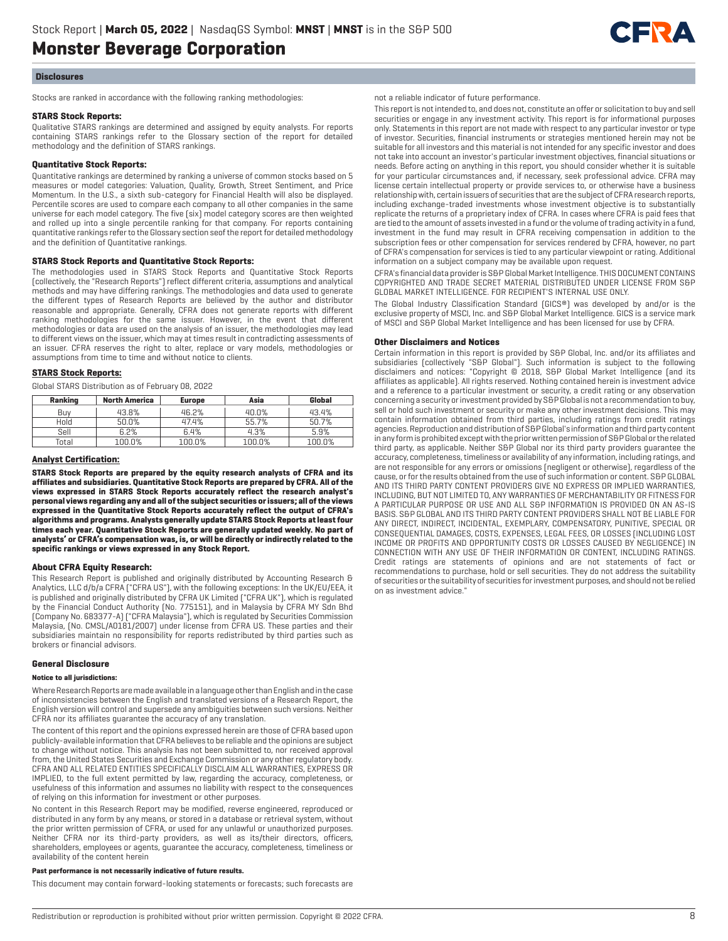

#### **Disclosures**

Stocks are ranked in accordance with the following ranking methodologies:

#### **STARS Stock Reports:**

Qualitative STARS rankings are determined and assigned by equity analysts. For reports containing STARS rankings refer to the Glossary section of the report for detailed methodology and the definition of STARS rankings.

### **Quantitative Stock Reports:**

Quantitative rankings are determined by ranking a universe of common stocks based on 5 measures or model categories: Valuation, Quality, Growth, Street Sentiment, and Price Momentum. In the U.S., a sixth sub-category for Financial Health will also be displayed. Percentile scores are used to compare each company to all other companies in the same universe for each model category. The five (six) model category scores are then weighted and rolled up into a single percentile ranking for that company. For reports containing quantitative rankings refer to the Glossary section seof the report for detailed methodology and the definition of Quantitative rankings.

### **STARS Stock Reports and Quantitative Stock Reports:**

The methodologies used in STARS Stock Reports and Quantitative Stock Reports (collectively, the "Research Reports") reflect different criteria, assumptions and analytical methods and may have differing rankings. The methodologies and data used to generate the different types of Research Reports are believed by the author and distributor reasonable and appropriate. Generally, CFRA does not generate reports with different ranking methodologies for the same issuer. However, in the event that different methodologies or data are used on the analysis of an issuer, the methodologies may lead to different views on the issuer, which may at times result in contradicting assessments of an issuer. CFRA reserves the right to alter, replace or vary models, methodologies or assumptions from time to time and without notice to clients.

#### **STARS Stock Reports:**

Global STARS Distribution as of February 08, 2022

| Ranking | <b>North America</b> | Asia<br><b>Europe</b> |        | Global |
|---------|----------------------|-----------------------|--------|--------|
| Buv     | 43.8%                | 46.2%                 | 40.0%  | 43.4%  |
| Hold    | 50.0%                | 47.4%                 | 55.7%  | 50.7%  |
| Sell    | 6.2%                 | 6.4%                  | 4.3%   | 5.9%   |
| Total   | 100.0%               | 100.0%                | 100.0% | 100.0% |

#### **Analyst Certification:**

**STARS Stock Reports are prepared by the equity research analysts of CFRA and its affiliates and subsidiaries. Quantitative Stock Reports are prepared by CFRA. All of the views expressed in STARS Stock Reports accurately reflect the research analyst's personal views regarding any and all of the subject securities or issuers; all of the views expressed in the Quantitative Stock Reports accurately reflect the output of CFRA's algorithms and programs. Analysts generally update STARS Stock Reports at least four times each year. Quantitative Stock Reports are generally updated weekly. No part of analysts' or CFRA's compensation was, is, or will be directly or indirectly related to the specific rankings or views expressed in any Stock Report.**

### **About CFRA Equity Research:**

This Research Report is published and originally distributed by Accounting Research & Analytics, LLC d/b/a CFRA ("CFRA US"), with the following exceptions: In the UK/EU/EEA, it is published and originally distributed by CFRA UK Limited ("CFRA UK"), which is regulated by the Financial Conduct Authority (No. 775151), and in Malaysia by CFRA MY Sdn Bhd (Company No. 683377-A) ("CFRA Malaysia"), which is regulated by Securities Commission Malaysia, (No. CMSL/A0181/2007) under license from CFRA US. These parties and their subsidiaries maintain no responsibility for reports redistributed by third parties such as brokers or financial advisors.

#### **General Disclosure**

#### **Notice to all jurisdictions:**

Where Research Reports are made available in a language other than English and in the case of inconsistencies between the English and translated versions of a Research Report, the English version will control and supersede any ambiguities between such versions. Neither CFRA nor its affiliates guarantee the accuracy of any translation.

The content of this report and the opinions expressed herein are those of CFRA based upon publicly-available information that CFRA believes to be reliable and the opinions are subject to change without notice. This analysis has not been submitted to, nor received approval from, the United States Securities and Exchange Commission or any other regulatory body. CFRA AND ALL RELATED ENTITIES SPECIFICALLY DISCLAIM ALL WARRANTIES, EXPRESS OR IMPLIED, to the full extent permitted by law, regarding the accuracy, completeness, or usefulness of this information and assumes no liability with respect to the consequences of relying on this information for investment or other purposes.

No content in this Research Report may be modified, reverse engineered, reproduced or distributed in any form by any means, or stored in a database or retrieval system, without the prior written permission of CFRA, or used for any unlawful or unauthorized purposes. Neither CFRA nor its third-party providers, as well as its/their directors, officers, shareholders, employees or agents, guarantee the accuracy, completeness, timeliness or availability of the content herein

#### **Past performance is not necessarily indicative of future results.**

This document may contain forward-looking statements or forecasts; such forecasts are

not a reliable indicator of future performance.

This report is not intended to, and does not, constitute an offer or solicitation to buy and sell securities or engage in any investment activity. This report is for informational purposes only. Statements in this report are not made with respect to any particular investor or type of investor. Securities, financial instruments or strategies mentioned herein may not be suitable for all investors and this material is not intended for any specific investor and does not take into account an investor's particular investment objectives, financial situations or needs. Before acting on anything in this report, you should consider whether it is suitable for your particular circumstances and, if necessary, seek professional advice. CFRA may license certain intellectual property or provide services to, or otherwise have a business relationship with, certain issuers of securities that are the subject of CFRA research reports, including exchange-traded investments whose investment objective is to substantially replicate the returns of a proprietary index of CFRA. In cases where CFRA is paid fees that are tied to the amount of assets invested in a fund or the volume of trading activity in a fund, investment in the fund may result in CFRA receiving compensation in addition to the subscription fees or other compensation for services rendered by CFRA, however, no part of CFRA's compensation for services is tied to any particular viewpoint or rating. Additional information on a subject company may be available upon request.

CFRA's financial data provider is S&P Global Market Intelligence. THIS DOCUMENT CONTAINS COPYRIGHTED AND TRADE SECRET MATERIAL DISTRIBUTED UNDER LICENSE FROM S&P GLOBAL MARKET INTELLIGENCE. FOR RECIPIENT'S INTERNAL USE ONLY.

The Global Industry Classification Standard (GICS®) was developed by and/or is the exclusive property of MSCI, Inc. and S&P Global Market Intelligence. GICS is a service mark of MSCI and S&P Global Market Intelligence and has been licensed for use by CFRA.

#### **Other Disclaimers and Notices**

Certain information in this report is provided by S&P Global, Inc. and/or its affiliates and subsidiaries (collectively "S&P Global"). Such information is subject to the following disclaimers and notices: "Copyright © 2018, S&P Global Market Intelligence (and its affiliates as applicable). All rights reserved. Nothing contained herein is investment advice and a reference to a particular investment or security, a credit rating or any observation concerning a security or investment provided by S&P Global is not a recommendation to buy, sell or hold such investment or security or make any other investment decisions. This may contain information obtained from third parties, including ratings from credit ratings agencies. Reproduction and distribution of S&P Global's information and third party content in any form is prohibited except with the prior written permission of S&P Global or the related third party, as applicable. Neither S&P Global nor its third party providers guarantee the accuracy, completeness, timeliness or availability of any information, including ratings, and are not responsible for any errors or omissions (negligent or otherwise), regardless of the cause, or for the results obtained from the use of such information or content. S&P GLOBAL AND ITS THIRD PARTY CONTENT PROVIDERS GIVE NO EXPRESS OR IMPLIED WARRANTIES, INCLUDING, BUT NOT LIMITED TO, ANY WARRANTIES OF MERCHANTABILITY OR FITNESS FOR A PARTICULAR PURPOSE OR USE AND ALL S&P INFORMATION IS PROVIDED ON AN AS-IS BASIS. S&P GLOBAL AND ITS THIRD PARTY CONTENT PROVIDERS SHALL NOT BE LIABLE FOR ANY DIRECT, INDIRECT, INCIDENTAL, EXEMPLARY, COMPENSATORY, PUNITIVE, SPECIAL OR CONSEQUENTIAL DAMAGES, COSTS, EXPENSES, LEGAL FEES, OR LOSSES (INCLUDING LOST INCOME OR PROFITS AND OPPORTUNITY COSTS OR LOSSES CAUSED BY NEGLIGENCE) IN CONNECTION WITH ANY USE OF THEIR INFORMATION OR CONTENT, INCLUDING RATINGS. Credit ratings are statements of opinions and are not statements of fact or recommendations to purchase, hold or sell securities. They do not address the suitability of securities or the suitability of securities for investment purposes, and should not be relied on as investment advice."